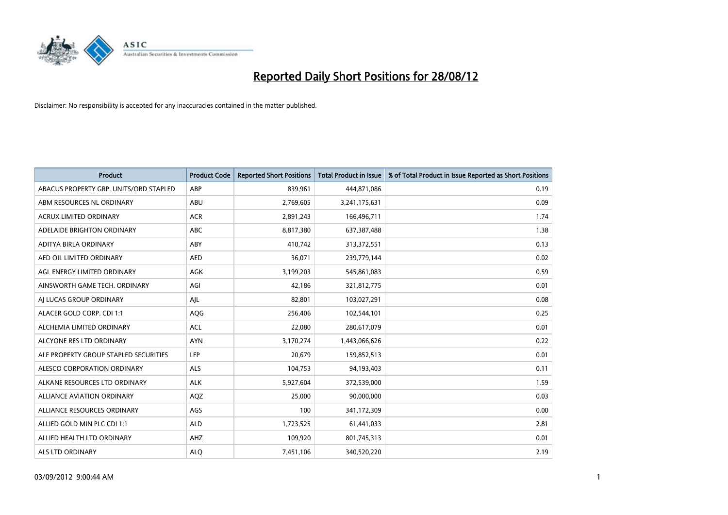

| <b>Product</b>                         | <b>Product Code</b> | <b>Reported Short Positions</b> | <b>Total Product in Issue</b> | % of Total Product in Issue Reported as Short Positions |
|----------------------------------------|---------------------|---------------------------------|-------------------------------|---------------------------------------------------------|
| ABACUS PROPERTY GRP. UNITS/ORD STAPLED | ABP                 | 839,961                         | 444,871,086                   | 0.19                                                    |
| ABM RESOURCES NL ORDINARY              | ABU                 | 2,769,605                       | 3,241,175,631                 | 0.09                                                    |
| <b>ACRUX LIMITED ORDINARY</b>          | <b>ACR</b>          | 2,891,243                       | 166,496,711                   | 1.74                                                    |
| ADELAIDE BRIGHTON ORDINARY             | <b>ABC</b>          | 8,817,380                       | 637,387,488                   | 1.38                                                    |
| ADITYA BIRLA ORDINARY                  | ABY                 | 410,742                         | 313,372,551                   | 0.13                                                    |
| AED OIL LIMITED ORDINARY               | <b>AED</b>          | 36,071                          | 239,779,144                   | 0.02                                                    |
| AGL ENERGY LIMITED ORDINARY            | <b>AGK</b>          | 3,199,203                       | 545,861,083                   | 0.59                                                    |
| AINSWORTH GAME TECH. ORDINARY          | AGI                 | 42,186                          | 321,812,775                   | 0.01                                                    |
| AI LUCAS GROUP ORDINARY                | AJL                 | 82,801                          | 103,027,291                   | 0.08                                                    |
| ALACER GOLD CORP. CDI 1:1              | AQG                 | 256,406                         | 102,544,101                   | 0.25                                                    |
| ALCHEMIA LIMITED ORDINARY              | <b>ACL</b>          | 22,080                          | 280,617,079                   | 0.01                                                    |
| ALCYONE RES LTD ORDINARY               | <b>AYN</b>          | 3,170,274                       | 1,443,066,626                 | 0.22                                                    |
| ALE PROPERTY GROUP STAPLED SECURITIES  | LEP                 | 20,679                          | 159,852,513                   | 0.01                                                    |
| ALESCO CORPORATION ORDINARY            | ALS                 | 104,753                         | 94,193,403                    | 0.11                                                    |
| ALKANE RESOURCES LTD ORDINARY          | <b>ALK</b>          | 5,927,604                       | 372,539,000                   | 1.59                                                    |
| ALLIANCE AVIATION ORDINARY             | AQZ                 | 25,000                          | 90,000,000                    | 0.03                                                    |
| ALLIANCE RESOURCES ORDINARY            | AGS                 | 100                             | 341,172,309                   | 0.00                                                    |
| ALLIED GOLD MIN PLC CDI 1:1            | <b>ALD</b>          | 1,723,525                       | 61,441,033                    | 2.81                                                    |
| ALLIED HEALTH LTD ORDINARY             | AHZ                 | 109,920                         | 801,745,313                   | 0.01                                                    |
| ALS LTD ORDINARY                       | <b>ALO</b>          | 7,451,106                       | 340,520,220                   | 2.19                                                    |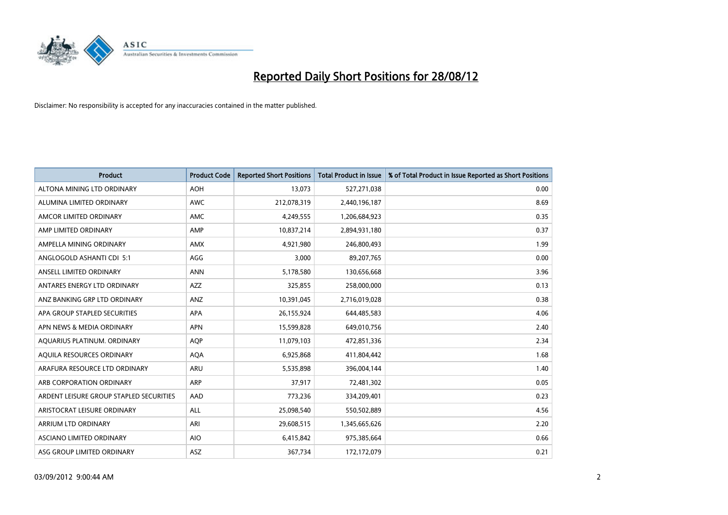

| <b>Product</b>                          | <b>Product Code</b> | <b>Reported Short Positions</b> | <b>Total Product in Issue</b> | % of Total Product in Issue Reported as Short Positions |
|-----------------------------------------|---------------------|---------------------------------|-------------------------------|---------------------------------------------------------|
| ALTONA MINING LTD ORDINARY              | <b>AOH</b>          | 13,073                          | 527,271,038                   | 0.00                                                    |
| ALUMINA LIMITED ORDINARY                | <b>AWC</b>          | 212,078,319                     | 2,440,196,187                 | 8.69                                                    |
| AMCOR LIMITED ORDINARY                  | AMC                 | 4,249,555                       | 1,206,684,923                 | 0.35                                                    |
| AMP LIMITED ORDINARY                    | AMP                 | 10,837,214                      | 2,894,931,180                 | 0.37                                                    |
| AMPELLA MINING ORDINARY                 | AMX                 | 4,921,980                       | 246,800,493                   | 1.99                                                    |
| ANGLOGOLD ASHANTI CDI 5:1               | AGG                 | 3,000                           | 89,207,765                    | 0.00                                                    |
| ANSELL LIMITED ORDINARY                 | <b>ANN</b>          | 5,178,580                       | 130,656,668                   | 3.96                                                    |
| ANTARES ENERGY LTD ORDINARY             | <b>AZZ</b>          | 325,855                         | 258,000,000                   | 0.13                                                    |
| ANZ BANKING GRP LTD ORDINARY            | ANZ                 | 10,391,045                      | 2,716,019,028                 | 0.38                                                    |
| APA GROUP STAPLED SECURITIES            | <b>APA</b>          | 26,155,924                      | 644,485,583                   | 4.06                                                    |
| APN NEWS & MEDIA ORDINARY               | <b>APN</b>          | 15,599,828                      | 649,010,756                   | 2.40                                                    |
| AQUARIUS PLATINUM. ORDINARY             | <b>AOP</b>          | 11,079,103                      | 472,851,336                   | 2.34                                                    |
| AQUILA RESOURCES ORDINARY               | <b>AQA</b>          | 6,925,868                       | 411,804,442                   | 1.68                                                    |
| ARAFURA RESOURCE LTD ORDINARY           | ARU                 | 5,535,898                       | 396,004,144                   | 1.40                                                    |
| ARB CORPORATION ORDINARY                | ARP                 | 37,917                          | 72,481,302                    | 0.05                                                    |
| ARDENT LEISURE GROUP STAPLED SECURITIES | AAD                 | 773,236                         | 334,209,401                   | 0.23                                                    |
| ARISTOCRAT LEISURE ORDINARY             | <b>ALL</b>          | 25,098,540                      | 550,502,889                   | 4.56                                                    |
| <b>ARRIUM LTD ORDINARY</b>              | ARI                 | 29,608,515                      | 1,345,665,626                 | 2.20                                                    |
| <b>ASCIANO LIMITED ORDINARY</b>         | <b>AIO</b>          | 6,415,842                       | 975,385,664                   | 0.66                                                    |
| ASG GROUP LIMITED ORDINARY              | <b>ASZ</b>          | 367,734                         | 172,172,079                   | 0.21                                                    |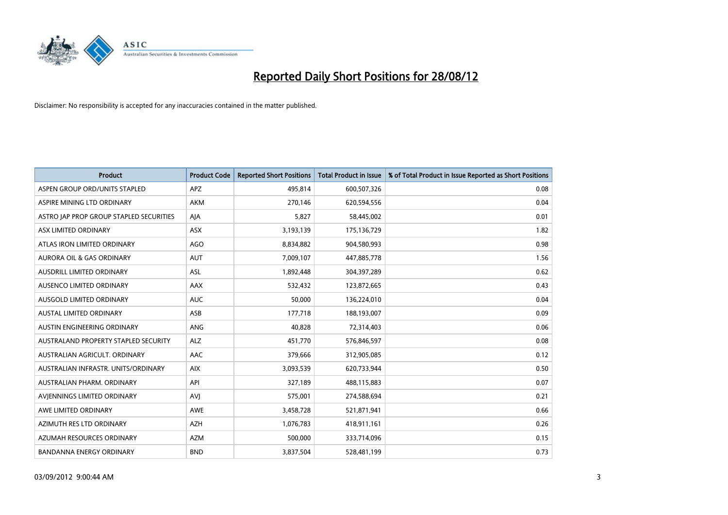

| <b>Product</b>                              | <b>Product Code</b> | <b>Reported Short Positions</b> | <b>Total Product in Issue</b> | % of Total Product in Issue Reported as Short Positions |
|---------------------------------------------|---------------------|---------------------------------|-------------------------------|---------------------------------------------------------|
| ASPEN GROUP ORD/UNITS STAPLED               | <b>APZ</b>          | 495,814                         | 600,507,326                   | 0.08                                                    |
| ASPIRE MINING LTD ORDINARY                  | <b>AKM</b>          | 270,146                         | 620,594,556                   | 0.04                                                    |
| ASTRO JAP PROP GROUP STAPLED SECURITIES     | AJA                 | 5,827                           | 58,445,002                    | 0.01                                                    |
| ASX LIMITED ORDINARY                        | ASX                 | 3,193,139                       | 175,136,729                   | 1.82                                                    |
| ATLAS IRON LIMITED ORDINARY                 | AGO                 | 8,834,882                       | 904,580,993                   | 0.98                                                    |
| <b>AURORA OIL &amp; GAS ORDINARY</b>        | <b>AUT</b>          | 7,009,107                       | 447,885,778                   | 1.56                                                    |
| AUSDRILL LIMITED ORDINARY                   | <b>ASL</b>          | 1,892,448                       | 304,397,289                   | 0.62                                                    |
| AUSENCO LIMITED ORDINARY                    | AAX                 | 532,432                         | 123,872,665                   | 0.43                                                    |
| AUSGOLD LIMITED ORDINARY                    | <b>AUC</b>          | 50,000                          | 136,224,010                   | 0.04                                                    |
| <b>AUSTAL LIMITED ORDINARY</b>              | ASB                 | 177,718                         | 188,193,007                   | 0.09                                                    |
| AUSTIN ENGINEERING ORDINARY                 | ANG                 | 40,828                          | 72,314,403                    | 0.06                                                    |
| <b>AUSTRALAND PROPERTY STAPLED SECURITY</b> | <b>ALZ</b>          | 451,770                         | 576,846,597                   | 0.08                                                    |
| AUSTRALIAN AGRICULT. ORDINARY               | AAC                 | 379,666                         | 312,905,085                   | 0.12                                                    |
| AUSTRALIAN INFRASTR. UNITS/ORDINARY         | <b>AIX</b>          | 3,093,539                       | 620,733,944                   | 0.50                                                    |
| AUSTRALIAN PHARM, ORDINARY                  | API                 | 327,189                         | 488,115,883                   | 0.07                                                    |
| AVIENNINGS LIMITED ORDINARY                 | AVI                 | 575,001                         | 274,588,694                   | 0.21                                                    |
| AWE LIMITED ORDINARY                        | AWE                 | 3,458,728                       | 521,871,941                   | 0.66                                                    |
| AZIMUTH RES LTD ORDINARY                    | <b>AZH</b>          | 1,076,783                       | 418,911,161                   | 0.26                                                    |
| AZUMAH RESOURCES ORDINARY                   | <b>AZM</b>          | 500,000                         | 333,714,096                   | 0.15                                                    |
| <b>BANDANNA ENERGY ORDINARY</b>             | <b>BND</b>          | 3,837,504                       | 528,481,199                   | 0.73                                                    |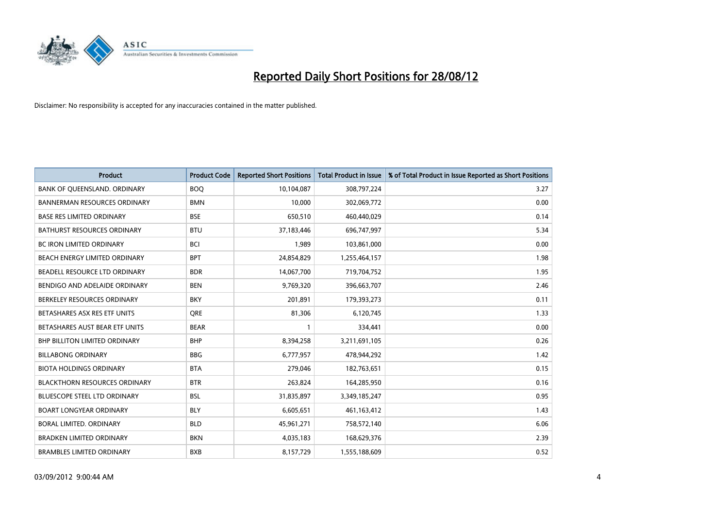

| <b>Product</b>                       | <b>Product Code</b> | <b>Reported Short Positions</b> | <b>Total Product in Issue</b> | % of Total Product in Issue Reported as Short Positions |
|--------------------------------------|---------------------|---------------------------------|-------------------------------|---------------------------------------------------------|
| BANK OF QUEENSLAND. ORDINARY         | <b>BOQ</b>          | 10,104,087                      | 308,797,224                   | 3.27                                                    |
| <b>BANNERMAN RESOURCES ORDINARY</b>  | <b>BMN</b>          | 10,000                          | 302,069,772                   | 0.00                                                    |
| <b>BASE RES LIMITED ORDINARY</b>     | <b>BSE</b>          | 650,510                         | 460,440,029                   | 0.14                                                    |
| BATHURST RESOURCES ORDINARY          | <b>BTU</b>          | 37,183,446                      | 696,747,997                   | 5.34                                                    |
| BC IRON LIMITED ORDINARY             | <b>BCI</b>          | 1,989                           | 103,861,000                   | 0.00                                                    |
| BEACH ENERGY LIMITED ORDINARY        | <b>BPT</b>          | 24,854,829                      | 1,255,464,157                 | 1.98                                                    |
| BEADELL RESOURCE LTD ORDINARY        | <b>BDR</b>          | 14,067,700                      | 719,704,752                   | 1.95                                                    |
| BENDIGO AND ADELAIDE ORDINARY        | <b>BEN</b>          | 9,769,320                       | 396,663,707                   | 2.46                                                    |
| BERKELEY RESOURCES ORDINARY          | <b>BKY</b>          | 201.891                         | 179,393,273                   | 0.11                                                    |
| BETASHARES ASX RES ETF UNITS         | <b>ORE</b>          | 81,306                          | 6,120,745                     | 1.33                                                    |
| BETASHARES AUST BEAR ETF UNITS       | <b>BEAR</b>         |                                 | 334,441                       | 0.00                                                    |
| <b>BHP BILLITON LIMITED ORDINARY</b> | <b>BHP</b>          | 8,394,258                       | 3,211,691,105                 | 0.26                                                    |
| <b>BILLABONG ORDINARY</b>            | <b>BBG</b>          | 6,777,957                       | 478,944,292                   | 1.42                                                    |
| <b>BIOTA HOLDINGS ORDINARY</b>       | <b>BTA</b>          | 279,046                         | 182,763,651                   | 0.15                                                    |
| <b>BLACKTHORN RESOURCES ORDINARY</b> | <b>BTR</b>          | 263,824                         | 164,285,950                   | 0.16                                                    |
| BLUESCOPE STEEL LTD ORDINARY         | <b>BSL</b>          | 31,835,897                      | 3,349,185,247                 | 0.95                                                    |
| <b>BOART LONGYEAR ORDINARY</b>       | <b>BLY</b>          | 6,605,651                       | 461,163,412                   | 1.43                                                    |
| BORAL LIMITED. ORDINARY              | <b>BLD</b>          | 45,961,271                      | 758,572,140                   | 6.06                                                    |
| <b>BRADKEN LIMITED ORDINARY</b>      | <b>BKN</b>          | 4,035,183                       | 168,629,376                   | 2.39                                                    |
| <b>BRAMBLES LIMITED ORDINARY</b>     | <b>BXB</b>          | 8,157,729                       | 1,555,188,609                 | 0.52                                                    |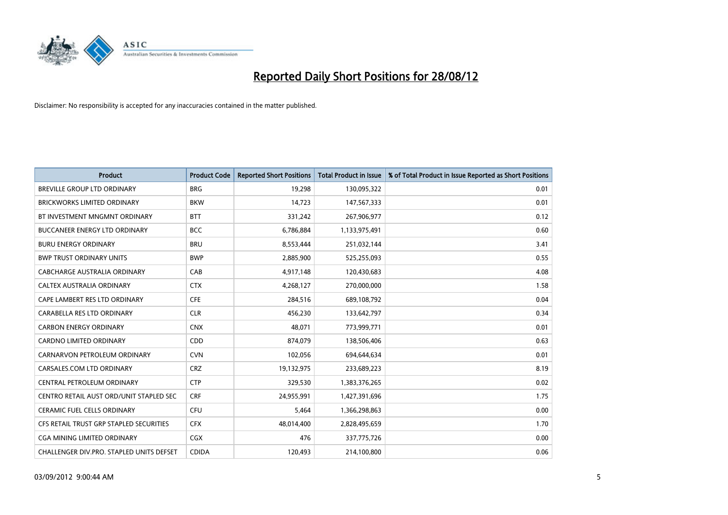

| <b>Product</b>                           | <b>Product Code</b> | <b>Reported Short Positions</b> | <b>Total Product in Issue</b> | % of Total Product in Issue Reported as Short Positions |
|------------------------------------------|---------------------|---------------------------------|-------------------------------|---------------------------------------------------------|
| <b>BREVILLE GROUP LTD ORDINARY</b>       | <b>BRG</b>          | 19,298                          | 130,095,322                   | 0.01                                                    |
| BRICKWORKS LIMITED ORDINARY              | <b>BKW</b>          | 14,723                          | 147,567,333                   | 0.01                                                    |
| BT INVESTMENT MNGMNT ORDINARY            | <b>BTT</b>          | 331,242                         | 267,906,977                   | 0.12                                                    |
| BUCCANEER ENERGY LTD ORDINARY            | <b>BCC</b>          | 6,786,884                       | 1,133,975,491                 | 0.60                                                    |
| <b>BURU ENERGY ORDINARY</b>              | <b>BRU</b>          | 8,553,444                       | 251,032,144                   | 3.41                                                    |
| <b>BWP TRUST ORDINARY UNITS</b>          | <b>BWP</b>          | 2,885,900                       | 525,255,093                   | 0.55                                                    |
| CABCHARGE AUSTRALIA ORDINARY             | CAB                 | 4,917,148                       | 120,430,683                   | 4.08                                                    |
| <b>CALTEX AUSTRALIA ORDINARY</b>         | <b>CTX</b>          | 4,268,127                       | 270,000,000                   | 1.58                                                    |
| CAPE LAMBERT RES LTD ORDINARY            | <b>CFE</b>          | 284,516                         | 689,108,792                   | 0.04                                                    |
| CARABELLA RES LTD ORDINARY               | <b>CLR</b>          | 456,230                         | 133,642,797                   | 0.34                                                    |
| <b>CARBON ENERGY ORDINARY</b>            | <b>CNX</b>          | 48,071                          | 773,999,771                   | 0.01                                                    |
| <b>CARDNO LIMITED ORDINARY</b>           | CDD                 | 874.079                         | 138,506,406                   | 0.63                                                    |
| CARNARVON PETROLEUM ORDINARY             | <b>CVN</b>          | 102,056                         | 694,644,634                   | 0.01                                                    |
| CARSALES.COM LTD ORDINARY                | <b>CRZ</b>          | 19,132,975                      | 233,689,223                   | 8.19                                                    |
| CENTRAL PETROLEUM ORDINARY               | <b>CTP</b>          | 329,530                         | 1,383,376,265                 | 0.02                                                    |
| CENTRO RETAIL AUST ORD/UNIT STAPLED SEC  | <b>CRF</b>          | 24,955,991                      | 1,427,391,696                 | 1.75                                                    |
| <b>CERAMIC FUEL CELLS ORDINARY</b>       | <b>CFU</b>          | 5,464                           | 1,366,298,863                 | 0.00                                                    |
| CFS RETAIL TRUST GRP STAPLED SECURITIES  | <b>CFX</b>          | 48,014,400                      | 2,828,495,659                 | 1.70                                                    |
| <b>CGA MINING LIMITED ORDINARY</b>       | <b>CGX</b>          | 476                             | 337,775,726                   | 0.00                                                    |
| CHALLENGER DIV.PRO. STAPLED UNITS DEFSET | <b>CDIDA</b>        | 120.493                         | 214,100,800                   | 0.06                                                    |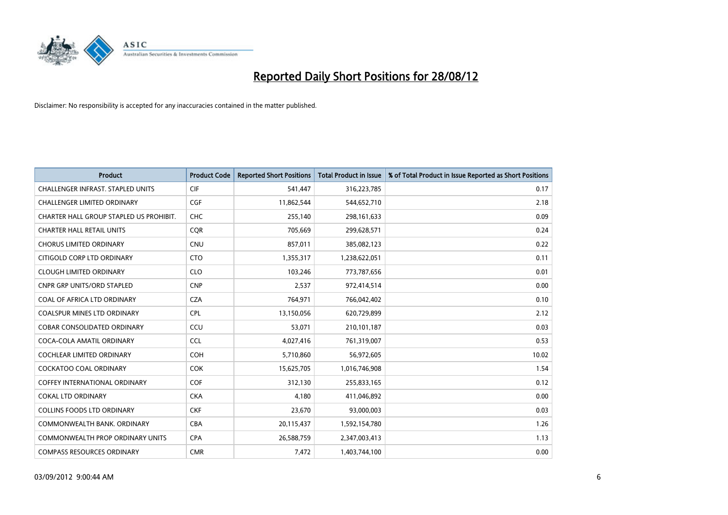

| <b>Product</b>                           | <b>Product Code</b> | <b>Reported Short Positions</b> | <b>Total Product in Issue</b> | % of Total Product in Issue Reported as Short Positions |
|------------------------------------------|---------------------|---------------------------------|-------------------------------|---------------------------------------------------------|
| <b>CHALLENGER INFRAST, STAPLED UNITS</b> | <b>CIF</b>          | 541,447                         | 316,223,785                   | 0.17                                                    |
| CHALLENGER LIMITED ORDINARY              | CGF                 | 11,862,544                      | 544,652,710                   | 2.18                                                    |
| CHARTER HALL GROUP STAPLED US PROHIBIT.  | <b>CHC</b>          | 255,140                         | 298, 161, 633                 | 0.09                                                    |
| <b>CHARTER HALL RETAIL UNITS</b>         | <b>COR</b>          | 705,669                         | 299,628,571                   | 0.24                                                    |
| <b>CHORUS LIMITED ORDINARY</b>           | <b>CNU</b>          | 857,011                         | 385,082,123                   | 0.22                                                    |
| CITIGOLD CORP LTD ORDINARY               | <b>CTO</b>          | 1,355,317                       | 1,238,622,051                 | 0.11                                                    |
| <b>CLOUGH LIMITED ORDINARY</b>           | <b>CLO</b>          | 103.246                         | 773,787,656                   | 0.01                                                    |
| <b>CNPR GRP UNITS/ORD STAPLED</b>        | <b>CNP</b>          | 2,537                           | 972,414,514                   | 0.00                                                    |
| COAL OF AFRICA LTD ORDINARY              | <b>CZA</b>          | 764,971                         | 766,042,402                   | 0.10                                                    |
| <b>COALSPUR MINES LTD ORDINARY</b>       | <b>CPL</b>          | 13,150,056                      | 620,729,899                   | 2.12                                                    |
| <b>COBAR CONSOLIDATED ORDINARY</b>       | CCU                 | 53,071                          | 210,101,187                   | 0.03                                                    |
| COCA-COLA AMATIL ORDINARY                | <b>CCL</b>          | 4,027,416                       | 761,319,007                   | 0.53                                                    |
| COCHLEAR LIMITED ORDINARY                | <b>COH</b>          | 5,710,860                       | 56,972,605                    | 10.02                                                   |
| <b>COCKATOO COAL ORDINARY</b>            | <b>COK</b>          | 15,625,705                      | 1,016,746,908                 | 1.54                                                    |
| <b>COFFEY INTERNATIONAL ORDINARY</b>     | <b>COF</b>          | 312,130                         | 255,833,165                   | 0.12                                                    |
| <b>COKAL LTD ORDINARY</b>                | <b>CKA</b>          | 4,180                           | 411,046,892                   | 0.00                                                    |
| <b>COLLINS FOODS LTD ORDINARY</b>        | <b>CKF</b>          | 23,670                          | 93,000,003                    | 0.03                                                    |
| COMMONWEALTH BANK, ORDINARY              | <b>CBA</b>          | 20,115,437                      | 1,592,154,780                 | 1.26                                                    |
| <b>COMMONWEALTH PROP ORDINARY UNITS</b>  | <b>CPA</b>          | 26,588,759                      | 2,347,003,413                 | 1.13                                                    |
| <b>COMPASS RESOURCES ORDINARY</b>        | <b>CMR</b>          | 7,472                           | 1,403,744,100                 | 0.00                                                    |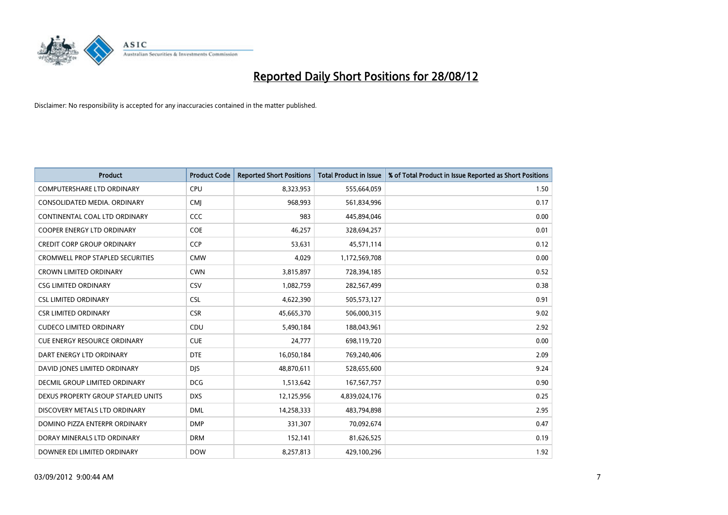

| <b>Product</b>                          | <b>Product Code</b> | <b>Reported Short Positions</b> | <b>Total Product in Issue</b> | % of Total Product in Issue Reported as Short Positions |
|-----------------------------------------|---------------------|---------------------------------|-------------------------------|---------------------------------------------------------|
| <b>COMPUTERSHARE LTD ORDINARY</b>       | <b>CPU</b>          | 8,323,953                       | 555,664,059                   | 1.50                                                    |
| CONSOLIDATED MEDIA. ORDINARY            | <b>CMI</b>          | 968,993                         | 561,834,996                   | 0.17                                                    |
| CONTINENTAL COAL LTD ORDINARY           | CCC                 | 983                             | 445,894,046                   | 0.00                                                    |
| COOPER ENERGY LTD ORDINARY              | <b>COE</b>          | 46,257                          | 328,694,257                   | 0.01                                                    |
| <b>CREDIT CORP GROUP ORDINARY</b>       | <b>CCP</b>          | 53,631                          | 45,571,114                    | 0.12                                                    |
| <b>CROMWELL PROP STAPLED SECURITIES</b> | <b>CMW</b>          | 4,029                           | 1,172,569,708                 | 0.00                                                    |
| <b>CROWN LIMITED ORDINARY</b>           | <b>CWN</b>          | 3,815,897                       | 728,394,185                   | 0.52                                                    |
| <b>CSG LIMITED ORDINARY</b>             | CSV                 | 1,082,759                       | 282,567,499                   | 0.38                                                    |
| <b>CSL LIMITED ORDINARY</b>             | <b>CSL</b>          | 4,622,390                       | 505,573,127                   | 0.91                                                    |
| <b>CSR LIMITED ORDINARY</b>             | <b>CSR</b>          | 45,665,370                      | 506,000,315                   | 9.02                                                    |
| <b>CUDECO LIMITED ORDINARY</b>          | CDU                 | 5,490,184                       | 188,043,961                   | 2.92                                                    |
| <b>CUE ENERGY RESOURCE ORDINARY</b>     | <b>CUE</b>          | 24,777                          | 698,119,720                   | 0.00                                                    |
| DART ENERGY LTD ORDINARY                | <b>DTE</b>          | 16,050,184                      | 769,240,406                   | 2.09                                                    |
| DAVID JONES LIMITED ORDINARY            | <b>DJS</b>          | 48,870,611                      | 528,655,600                   | 9.24                                                    |
| DECMIL GROUP LIMITED ORDINARY           | <b>DCG</b>          | 1,513,642                       | 167,567,757                   | 0.90                                                    |
| DEXUS PROPERTY GROUP STAPLED UNITS      | <b>DXS</b>          | 12,125,956                      | 4,839,024,176                 | 0.25                                                    |
| DISCOVERY METALS LTD ORDINARY           | <b>DML</b>          | 14,258,333                      | 483,794,898                   | 2.95                                                    |
| DOMINO PIZZA ENTERPR ORDINARY           | <b>DMP</b>          | 331,307                         | 70,092,674                    | 0.47                                                    |
| DORAY MINERALS LTD ORDINARY             | <b>DRM</b>          | 152,141                         | 81,626,525                    | 0.19                                                    |
| DOWNER EDI LIMITED ORDINARY             | <b>DOW</b>          | 8,257,813                       | 429,100,296                   | 1.92                                                    |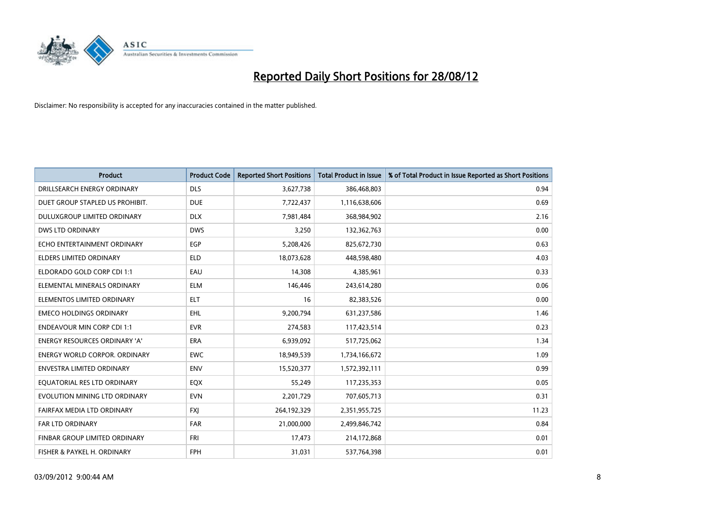

| <b>Product</b>                       | <b>Product Code</b> | <b>Reported Short Positions</b> | <b>Total Product in Issue</b> | % of Total Product in Issue Reported as Short Positions |
|--------------------------------------|---------------------|---------------------------------|-------------------------------|---------------------------------------------------------|
| DRILLSEARCH ENERGY ORDINARY          | <b>DLS</b>          | 3,627,738                       | 386,468,803                   | 0.94                                                    |
| DUET GROUP STAPLED US PROHIBIT.      | <b>DUE</b>          | 7,722,437                       | 1,116,638,606                 | 0.69                                                    |
| <b>DULUXGROUP LIMITED ORDINARY</b>   | <b>DLX</b>          | 7,981,484                       | 368,984,902                   | 2.16                                                    |
| DWS LTD ORDINARY                     | <b>DWS</b>          | 3,250                           | 132,362,763                   | 0.00                                                    |
| ECHO ENTERTAINMENT ORDINARY          | <b>EGP</b>          | 5,208,426                       | 825,672,730                   | 0.63                                                    |
| <b>ELDERS LIMITED ORDINARY</b>       | <b>ELD</b>          | 18,073,628                      | 448,598,480                   | 4.03                                                    |
| ELDORADO GOLD CORP CDI 1:1           | EAU                 | 14,308                          | 4,385,961                     | 0.33                                                    |
| ELEMENTAL MINERALS ORDINARY          | <b>ELM</b>          | 146,446                         | 243,614,280                   | 0.06                                                    |
| ELEMENTOS LIMITED ORDINARY           | <b>ELT</b>          | 16                              | 82,383,526                    | 0.00                                                    |
| <b>EMECO HOLDINGS ORDINARY</b>       | <b>EHL</b>          | 9,200,794                       | 631,237,586                   | 1.46                                                    |
| <b>ENDEAVOUR MIN CORP CDI 1:1</b>    | <b>EVR</b>          | 274,583                         | 117,423,514                   | 0.23                                                    |
| <b>ENERGY RESOURCES ORDINARY 'A'</b> | <b>ERA</b>          | 6,939,092                       | 517,725,062                   | 1.34                                                    |
| ENERGY WORLD CORPOR. ORDINARY        | <b>EWC</b>          | 18,949,539                      | 1,734,166,672                 | 1.09                                                    |
| <b>ENVESTRA LIMITED ORDINARY</b>     | <b>ENV</b>          | 15,520,377                      | 1,572,392,111                 | 0.99                                                    |
| EQUATORIAL RES LTD ORDINARY          | EQX                 | 55,249                          | 117,235,353                   | 0.05                                                    |
| EVOLUTION MINING LTD ORDINARY        | <b>EVN</b>          | 2,201,729                       | 707,605,713                   | 0.31                                                    |
| FAIRFAX MEDIA LTD ORDINARY           | <b>FXI</b>          | 264,192,329                     | 2,351,955,725                 | 11.23                                                   |
| <b>FAR LTD ORDINARY</b>              | <b>FAR</b>          | 21,000,000                      | 2,499,846,742                 | 0.84                                                    |
| FINBAR GROUP LIMITED ORDINARY        | <b>FRI</b>          | 17,473                          | 214,172,868                   | 0.01                                                    |
| FISHER & PAYKEL H. ORDINARY          | <b>FPH</b>          | 31,031                          | 537,764,398                   | 0.01                                                    |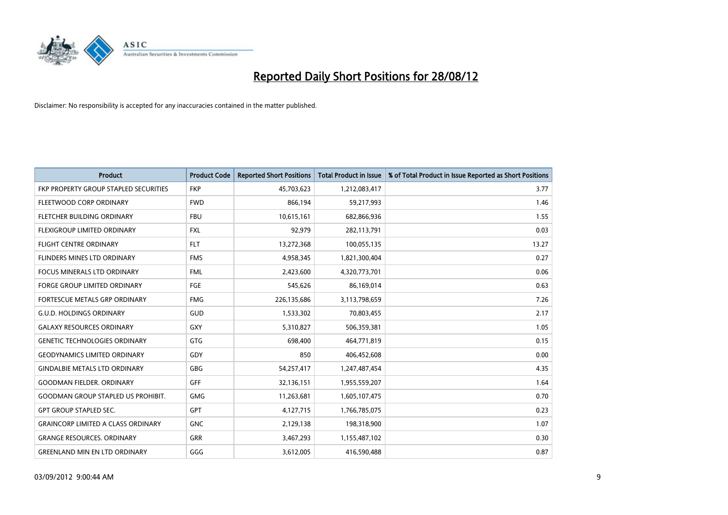

| <b>Product</b>                               | <b>Product Code</b> | <b>Reported Short Positions</b> | Total Product in Issue | % of Total Product in Issue Reported as Short Positions |
|----------------------------------------------|---------------------|---------------------------------|------------------------|---------------------------------------------------------|
| <b>FKP PROPERTY GROUP STAPLED SECURITIES</b> | <b>FKP</b>          | 45,703,623                      | 1,212,083,417          | 3.77                                                    |
| FLEETWOOD CORP ORDINARY                      | <b>FWD</b>          | 866,194                         | 59,217,993             | 1.46                                                    |
| <b>FLETCHER BUILDING ORDINARY</b>            | <b>FBU</b>          | 10,615,161                      | 682,866,936            | 1.55                                                    |
| FLEXIGROUP LIMITED ORDINARY                  | <b>FXL</b>          | 92,979                          | 282,113,791            | 0.03                                                    |
| <b>FLIGHT CENTRE ORDINARY</b>                | <b>FLT</b>          | 13,272,368                      | 100,055,135            | 13.27                                                   |
| <b>FLINDERS MINES LTD ORDINARY</b>           | <b>FMS</b>          | 4,958,345                       | 1,821,300,404          | 0.27                                                    |
| <b>FOCUS MINERALS LTD ORDINARY</b>           | <b>FML</b>          | 2,423,600                       | 4,320,773,701          | 0.06                                                    |
| <b>FORGE GROUP LIMITED ORDINARY</b>          | FGE                 | 545,626                         | 86,169,014             | 0.63                                                    |
| FORTESCUE METALS GRP ORDINARY                | <b>FMG</b>          | 226,135,686                     | 3,113,798,659          | 7.26                                                    |
| <b>G.U.D. HOLDINGS ORDINARY</b>              | <b>GUD</b>          | 1,533,302                       | 70,803,455             | 2.17                                                    |
| <b>GALAXY RESOURCES ORDINARY</b>             | GXY                 | 5,310,827                       | 506,359,381            | 1.05                                                    |
| <b>GENETIC TECHNOLOGIES ORDINARY</b>         | <b>GTG</b>          | 698.400                         | 464,771,819            | 0.15                                                    |
| <b>GEODYNAMICS LIMITED ORDINARY</b>          | GDY                 | 850                             | 406,452,608            | 0.00                                                    |
| <b>GINDALBIE METALS LTD ORDINARY</b>         | GBG                 | 54,257,417                      | 1,247,487,454          | 4.35                                                    |
| <b>GOODMAN FIELDER, ORDINARY</b>             | <b>GFF</b>          | 32,136,151                      | 1,955,559,207          | 1.64                                                    |
| <b>GOODMAN GROUP STAPLED US PROHIBIT.</b>    | <b>GMG</b>          | 11,263,681                      | 1,605,107,475          | 0.70                                                    |
| <b>GPT GROUP STAPLED SEC.</b>                | <b>GPT</b>          | 4,127,715                       | 1,766,785,075          | 0.23                                                    |
| <b>GRAINCORP LIMITED A CLASS ORDINARY</b>    | <b>GNC</b>          | 2,129,138                       | 198,318,900            | 1.07                                                    |
| <b>GRANGE RESOURCES, ORDINARY</b>            | <b>GRR</b>          | 3,467,293                       | 1,155,487,102          | 0.30                                                    |
| <b>GREENLAND MIN EN LTD ORDINARY</b>         | GGG                 | 3,612,005                       | 416,590,488            | 0.87                                                    |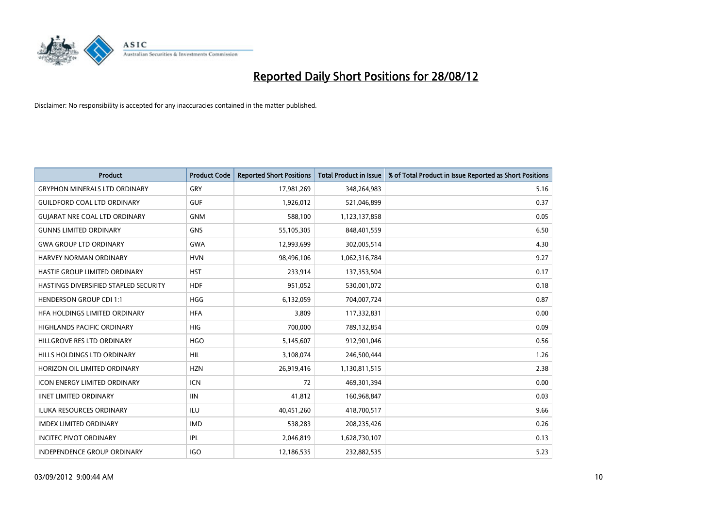

| <b>Product</b>                        | <b>Product Code</b> | <b>Reported Short Positions</b> | <b>Total Product in Issue</b> | % of Total Product in Issue Reported as Short Positions |
|---------------------------------------|---------------------|---------------------------------|-------------------------------|---------------------------------------------------------|
| <b>GRYPHON MINERALS LTD ORDINARY</b>  | GRY                 | 17,981,269                      | 348,264,983                   | 5.16                                                    |
| <b>GUILDFORD COAL LTD ORDINARY</b>    | <b>GUF</b>          | 1,926,012                       | 521,046,899                   | 0.37                                                    |
| <b>GUIARAT NRE COAL LTD ORDINARY</b>  | <b>GNM</b>          | 588,100                         | 1,123,137,858                 | 0.05                                                    |
| <b>GUNNS LIMITED ORDINARY</b>         | <b>GNS</b>          | 55,105,305                      | 848,401,559                   | 6.50                                                    |
| <b>GWA GROUP LTD ORDINARY</b>         | <b>GWA</b>          | 12,993,699                      | 302,005,514                   | 4.30                                                    |
| <b>HARVEY NORMAN ORDINARY</b>         | <b>HVN</b>          | 98,496,106                      | 1,062,316,784                 | 9.27                                                    |
| <b>HASTIE GROUP LIMITED ORDINARY</b>  | <b>HST</b>          | 233,914                         | 137,353,504                   | 0.17                                                    |
| HASTINGS DIVERSIFIED STAPLED SECURITY | <b>HDF</b>          | 951,052                         | 530,001,072                   | 0.18                                                    |
| <b>HENDERSON GROUP CDI 1:1</b>        | <b>HGG</b>          | 6,132,059                       | 704,007,724                   | 0.87                                                    |
| HEA HOLDINGS LIMITED ORDINARY         | <b>HFA</b>          | 3,809                           | 117,332,831                   | 0.00                                                    |
| HIGHLANDS PACIFIC ORDINARY            | <b>HIG</b>          | 700,000                         | 789,132,854                   | 0.09                                                    |
| HILLGROVE RES LTD ORDINARY            | <b>HGO</b>          | 5,145,607                       | 912,901,046                   | 0.56                                                    |
| HILLS HOLDINGS LTD ORDINARY           | <b>HIL</b>          | 3,108,074                       | 246,500,444                   | 1.26                                                    |
| HORIZON OIL LIMITED ORDINARY          | <b>HZN</b>          | 26,919,416                      | 1,130,811,515                 | 2.38                                                    |
| <b>ICON ENERGY LIMITED ORDINARY</b>   | <b>ICN</b>          | 72                              | 469,301,394                   | 0.00                                                    |
| <b>IINET LIMITED ORDINARY</b>         | <b>IIN</b>          | 41,812                          | 160,968,847                   | 0.03                                                    |
| ILUKA RESOURCES ORDINARY              | ILU                 | 40,451,260                      | 418,700,517                   | 9.66                                                    |
| <b>IMDEX LIMITED ORDINARY</b>         | <b>IMD</b>          | 538,283                         | 208,235,426                   | 0.26                                                    |
| <b>INCITEC PIVOT ORDINARY</b>         | <b>IPL</b>          | 2,046,819                       | 1,628,730,107                 | 0.13                                                    |
| INDEPENDENCE GROUP ORDINARY           | <b>IGO</b>          | 12,186,535                      | 232,882,535                   | 5.23                                                    |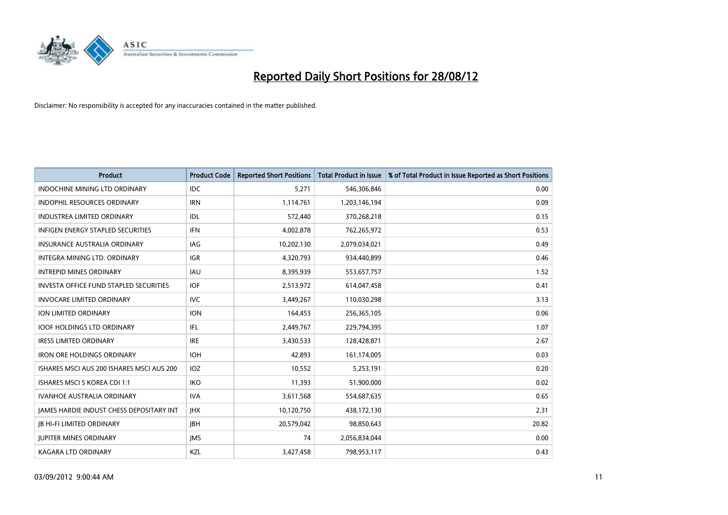

| <b>Product</b>                                  | <b>Product Code</b> | <b>Reported Short Positions</b> | <b>Total Product in Issue</b> | % of Total Product in Issue Reported as Short Positions |
|-------------------------------------------------|---------------------|---------------------------------|-------------------------------|---------------------------------------------------------|
| <b>INDOCHINE MINING LTD ORDINARY</b>            | <b>IDC</b>          | 5,271                           | 546,306,846                   | 0.00                                                    |
| INDOPHIL RESOURCES ORDINARY                     | <b>IRN</b>          | 1,114,761                       | 1,203,146,194                 | 0.09                                                    |
| <b>INDUSTREA LIMITED ORDINARY</b>               | IDL                 | 572,440                         | 370,268,218                   | 0.15                                                    |
| INFIGEN ENERGY STAPLED SECURITIES               | <b>IFN</b>          | 4,002,878                       | 762,265,972                   | 0.53                                                    |
| INSURANCE AUSTRALIA ORDINARY                    | IAG                 | 10,202,130                      | 2,079,034,021                 | 0.49                                                    |
| <b>INTEGRA MINING LTD, ORDINARY</b>             | <b>IGR</b>          | 4,320,793                       | 934,440,899                   | 0.46                                                    |
| <b>INTREPID MINES ORDINARY</b>                  | <b>IAU</b>          | 8,395,939                       | 553,657,757                   | 1.52                                                    |
| <b>INVESTA OFFICE FUND STAPLED SECURITIES</b>   | <b>IOF</b>          | 2,513,972                       | 614,047,458                   | 0.41                                                    |
| <b>INVOCARE LIMITED ORDINARY</b>                | <b>IVC</b>          | 3,449,267                       | 110,030,298                   | 3.13                                                    |
| <b>ION LIMITED ORDINARY</b>                     | <b>ION</b>          | 164,453                         | 256,365,105                   | 0.06                                                    |
| <b>IOOF HOLDINGS LTD ORDINARY</b>               | IFL.                | 2,449,767                       | 229,794,395                   | 1.07                                                    |
| <b>IRESS LIMITED ORDINARY</b>                   | <b>IRE</b>          | 3,430,533                       | 128,428,871                   | 2.67                                                    |
| <b>IRON ORE HOLDINGS ORDINARY</b>               | <b>IOH</b>          | 42,893                          | 161,174,005                   | 0.03                                                    |
| ISHARES MSCI AUS 200 ISHARES MSCI AUS 200       | <b>IOZ</b>          | 10,552                          | 5,253,191                     | 0.20                                                    |
| <b>ISHARES MSCI S KOREA CDI 1:1</b>             | <b>IKO</b>          | 11,393                          | 51,900,000                    | 0.02                                                    |
| <b>IVANHOE AUSTRALIA ORDINARY</b>               | <b>IVA</b>          | 3,611,568                       | 554,687,635                   | 0.65                                                    |
| <b>JAMES HARDIE INDUST CHESS DEPOSITARY INT</b> | <b>IHX</b>          | 10,120,750                      | 438,172,130                   | 2.31                                                    |
| <b>IB HI-FI LIMITED ORDINARY</b>                | <b>IBH</b>          | 20,579,042                      | 98,850,643                    | 20.82                                                   |
| <b>JUPITER MINES ORDINARY</b>                   | <b>IMS</b>          | 74                              | 2,056,834,044                 | 0.00                                                    |
| <b>KAGARA LTD ORDINARY</b>                      | KZL                 | 3,427,458                       | 798,953,117                   | 0.43                                                    |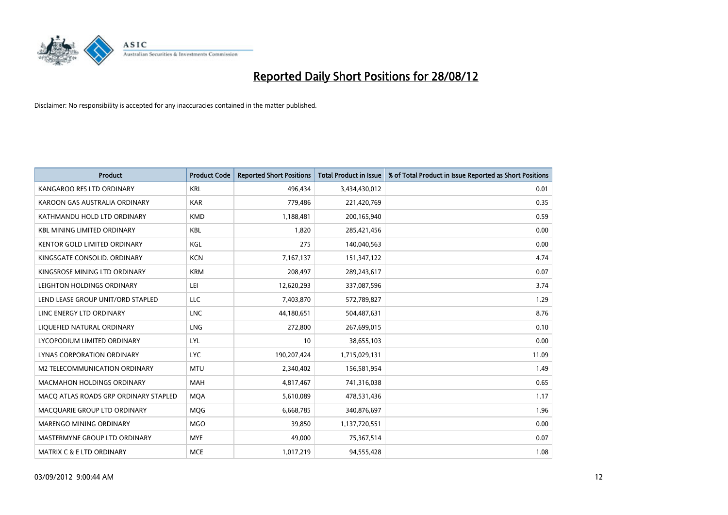

| <b>Product</b>                        | <b>Product Code</b> | <b>Reported Short Positions</b> | <b>Total Product in Issue</b> | % of Total Product in Issue Reported as Short Positions |
|---------------------------------------|---------------------|---------------------------------|-------------------------------|---------------------------------------------------------|
| KANGAROO RES LTD ORDINARY             | <b>KRL</b>          | 496,434                         | 3,434,430,012                 | 0.01                                                    |
| KAROON GAS AUSTRALIA ORDINARY         | <b>KAR</b>          | 779,486                         | 221,420,769                   | 0.35                                                    |
| KATHMANDU HOLD LTD ORDINARY           | <b>KMD</b>          | 1,188,481                       | 200,165,940                   | 0.59                                                    |
| <b>KBL MINING LIMITED ORDINARY</b>    | <b>KBL</b>          | 1,820                           | 285,421,456                   | 0.00                                                    |
| <b>KENTOR GOLD LIMITED ORDINARY</b>   | KGL                 | 275                             | 140,040,563                   | 0.00                                                    |
| KINGSGATE CONSOLID. ORDINARY          | <b>KCN</b>          | 7,167,137                       | 151,347,122                   | 4.74                                                    |
| KINGSROSE MINING LTD ORDINARY         | <b>KRM</b>          | 208,497                         | 289,243,617                   | 0.07                                                    |
| LEIGHTON HOLDINGS ORDINARY            | LEI                 | 12,620,293                      | 337,087,596                   | 3.74                                                    |
| LEND LEASE GROUP UNIT/ORD STAPLED     | LLC                 | 7,403,870                       | 572,789,827                   | 1.29                                                    |
| LINC ENERGY LTD ORDINARY              | <b>LNC</b>          | 44,180,651                      | 504,487,631                   | 8.76                                                    |
| LIQUEFIED NATURAL ORDINARY            | <b>LNG</b>          | 272,800                         | 267,699,015                   | 0.10                                                    |
| LYCOPODIUM LIMITED ORDINARY           | LYL                 | 10                              | 38,655,103                    | 0.00                                                    |
| LYNAS CORPORATION ORDINARY            | <b>LYC</b>          | 190,207,424                     | 1,715,029,131                 | 11.09                                                   |
| M2 TELECOMMUNICATION ORDINARY         | <b>MTU</b>          | 2,340,402                       | 156,581,954                   | 1.49                                                    |
| <b>MACMAHON HOLDINGS ORDINARY</b>     | <b>MAH</b>          | 4,817,467                       | 741,316,038                   | 0.65                                                    |
| MACQ ATLAS ROADS GRP ORDINARY STAPLED | <b>MQA</b>          | 5,610,089                       | 478,531,436                   | 1.17                                                    |
| MACQUARIE GROUP LTD ORDINARY          | <b>MOG</b>          | 6,668,785                       | 340,876,697                   | 1.96                                                    |
| MARENGO MINING ORDINARY               | <b>MGO</b>          | 39,850                          | 1,137,720,551                 | 0.00                                                    |
| MASTERMYNE GROUP LTD ORDINARY         | <b>MYE</b>          | 49,000                          | 75,367,514                    | 0.07                                                    |
| MATRIX C & E LTD ORDINARY             | <b>MCE</b>          | 1,017,219                       | 94,555,428                    | 1.08                                                    |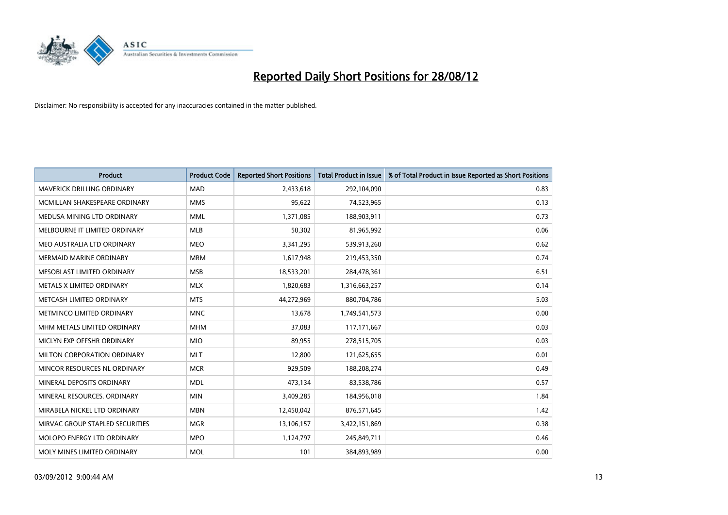

| <b>Product</b>                    | <b>Product Code</b> | <b>Reported Short Positions</b> | <b>Total Product in Issue</b> | % of Total Product in Issue Reported as Short Positions |
|-----------------------------------|---------------------|---------------------------------|-------------------------------|---------------------------------------------------------|
| <b>MAVERICK DRILLING ORDINARY</b> | <b>MAD</b>          | 2,433,618                       | 292,104,090                   | 0.83                                                    |
| MCMILLAN SHAKESPEARE ORDINARY     | <b>MMS</b>          | 95,622                          | 74,523,965                    | 0.13                                                    |
| MEDUSA MINING LTD ORDINARY        | <b>MML</b>          | 1,371,085                       | 188,903,911                   | 0.73                                                    |
| MELBOURNE IT LIMITED ORDINARY     | <b>MLB</b>          | 50,302                          | 81,965,992                    | 0.06                                                    |
| MEO AUSTRALIA LTD ORDINARY        | <b>MEO</b>          | 3,341,295                       | 539,913,260                   | 0.62                                                    |
| <b>MERMAID MARINE ORDINARY</b>    | <b>MRM</b>          | 1,617,948                       | 219,453,350                   | 0.74                                                    |
| <b>MESOBLAST LIMITED ORDINARY</b> | <b>MSB</b>          | 18,533,201                      | 284,478,361                   | 6.51                                                    |
| METALS X LIMITED ORDINARY         | <b>MLX</b>          | 1,820,683                       | 1,316,663,257                 | 0.14                                                    |
| METCASH LIMITED ORDINARY          | <b>MTS</b>          | 44,272,969                      | 880,704,786                   | 5.03                                                    |
| METMINCO LIMITED ORDINARY         | <b>MNC</b>          | 13,678                          | 1,749,541,573                 | 0.00                                                    |
| MHM METALS LIMITED ORDINARY       | <b>MHM</b>          | 37,083                          | 117, 171, 667                 | 0.03                                                    |
| MICLYN EXP OFFSHR ORDINARY        | <b>MIO</b>          | 89,955                          | 278,515,705                   | 0.03                                                    |
| MILTON CORPORATION ORDINARY       | <b>MLT</b>          | 12,800                          | 121,625,655                   | 0.01                                                    |
| MINCOR RESOURCES NL ORDINARY      | <b>MCR</b>          | 929,509                         | 188,208,274                   | 0.49                                                    |
| MINERAL DEPOSITS ORDINARY         | <b>MDL</b>          | 473,134                         | 83,538,786                    | 0.57                                                    |
| MINERAL RESOURCES. ORDINARY       | <b>MIN</b>          | 3,409,285                       | 184,956,018                   | 1.84                                                    |
| MIRABELA NICKEL LTD ORDINARY      | <b>MBN</b>          | 12,450,042                      | 876,571,645                   | 1.42                                                    |
| MIRVAC GROUP STAPLED SECURITIES   | <b>MGR</b>          | 13,106,157                      | 3,422,151,869                 | 0.38                                                    |
| MOLOPO ENERGY LTD ORDINARY        | <b>MPO</b>          | 1,124,797                       | 245,849,711                   | 0.46                                                    |
| MOLY MINES LIMITED ORDINARY       | <b>MOL</b>          | 101                             | 384,893,989                   | 0.00                                                    |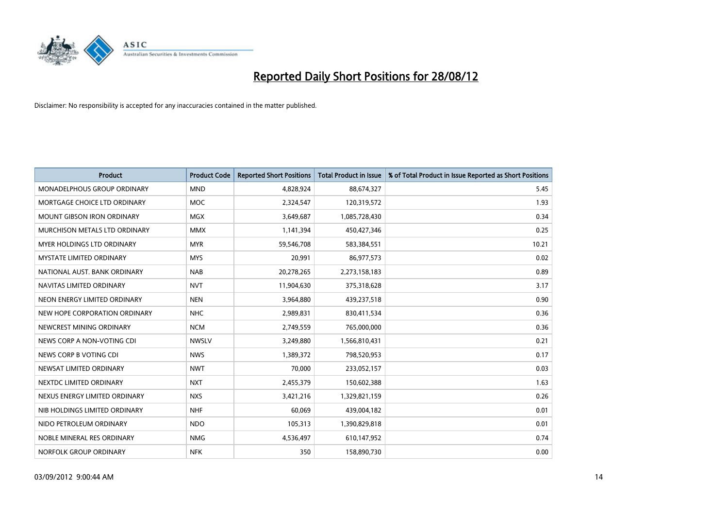

| <b>Product</b>                    | <b>Product Code</b> | <b>Reported Short Positions</b> | <b>Total Product in Issue</b> | % of Total Product in Issue Reported as Short Positions |
|-----------------------------------|---------------------|---------------------------------|-------------------------------|---------------------------------------------------------|
| MONADELPHOUS GROUP ORDINARY       | <b>MND</b>          | 4,828,924                       | 88,674,327                    | 5.45                                                    |
| MORTGAGE CHOICE LTD ORDINARY      | <b>MOC</b>          | 2,324,547                       | 120,319,572                   | 1.93                                                    |
| <b>MOUNT GIBSON IRON ORDINARY</b> | <b>MGX</b>          | 3,649,687                       | 1,085,728,430                 | 0.34                                                    |
| MURCHISON METALS LTD ORDINARY     | <b>MMX</b>          | 1,141,394                       | 450,427,346                   | 0.25                                                    |
| MYER HOLDINGS LTD ORDINARY        | <b>MYR</b>          | 59,546,708                      | 583,384,551                   | 10.21                                                   |
| <b>MYSTATE LIMITED ORDINARY</b>   | <b>MYS</b>          | 20,991                          | 86,977,573                    | 0.02                                                    |
| NATIONAL AUST. BANK ORDINARY      | <b>NAB</b>          | 20,278,265                      | 2,273,158,183                 | 0.89                                                    |
| NAVITAS LIMITED ORDINARY          | <b>NVT</b>          | 11,904,630                      | 375,318,628                   | 3.17                                                    |
| NEON ENERGY LIMITED ORDINARY      | <b>NEN</b>          | 3,964,880                       | 439,237,518                   | 0.90                                                    |
| NEW HOPE CORPORATION ORDINARY     | <b>NHC</b>          | 2,989,831                       | 830,411,534                   | 0.36                                                    |
| NEWCREST MINING ORDINARY          | <b>NCM</b>          | 2,749,559                       | 765,000,000                   | 0.36                                                    |
| NEWS CORP A NON-VOTING CDI        | <b>NWSLV</b>        | 3,249,880                       | 1,566,810,431                 | 0.21                                                    |
| NEWS CORP B VOTING CDI            | <b>NWS</b>          | 1,389,372                       | 798,520,953                   | 0.17                                                    |
| NEWSAT LIMITED ORDINARY           | <b>NWT</b>          | 70,000                          | 233,052,157                   | 0.03                                                    |
| NEXTDC LIMITED ORDINARY           | <b>NXT</b>          | 2,455,379                       | 150,602,388                   | 1.63                                                    |
| NEXUS ENERGY LIMITED ORDINARY     | <b>NXS</b>          | 3,421,216                       | 1,329,821,159                 | 0.26                                                    |
| NIB HOLDINGS LIMITED ORDINARY     | <b>NHF</b>          | 60,069                          | 439,004,182                   | 0.01                                                    |
| NIDO PETROLEUM ORDINARY           | <b>NDO</b>          | 105,313                         | 1,390,829,818                 | 0.01                                                    |
| NOBLE MINERAL RES ORDINARY        | <b>NMG</b>          | 4,536,497                       | 610,147,952                   | 0.74                                                    |
| NORFOLK GROUP ORDINARY            | <b>NFK</b>          | 350                             | 158,890,730                   | 0.00                                                    |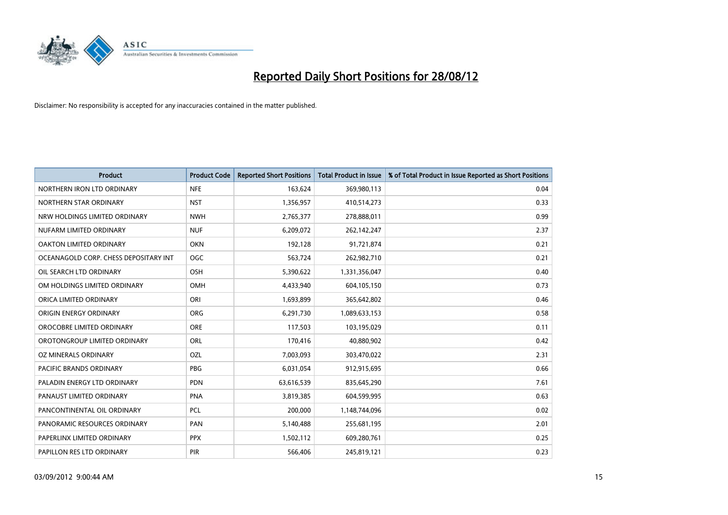

| <b>Product</b>                        | <b>Product Code</b> | <b>Reported Short Positions</b> | <b>Total Product in Issue</b> | % of Total Product in Issue Reported as Short Positions |
|---------------------------------------|---------------------|---------------------------------|-------------------------------|---------------------------------------------------------|
| NORTHERN IRON LTD ORDINARY            | <b>NFE</b>          | 163,624                         | 369,980,113                   | 0.04                                                    |
| NORTHERN STAR ORDINARY                | <b>NST</b>          | 1,356,957                       | 410,514,273                   | 0.33                                                    |
| NRW HOLDINGS LIMITED ORDINARY         | <b>NWH</b>          | 2,765,377                       | 278,888,011                   | 0.99                                                    |
| NUFARM LIMITED ORDINARY               | <b>NUF</b>          | 6,209,072                       | 262,142,247                   | 2.37                                                    |
| OAKTON LIMITED ORDINARY               | <b>OKN</b>          | 192,128                         | 91,721,874                    | 0.21                                                    |
| OCEANAGOLD CORP. CHESS DEPOSITARY INT | <b>OGC</b>          | 563,724                         | 262,982,710                   | 0.21                                                    |
| OIL SEARCH LTD ORDINARY               | <b>OSH</b>          | 5,390,622                       | 1,331,356,047                 | 0.40                                                    |
| OM HOLDINGS LIMITED ORDINARY          | <b>OMH</b>          | 4,433,940                       | 604,105,150                   | 0.73                                                    |
| ORICA LIMITED ORDINARY                | ORI                 | 1,693,899                       | 365,642,802                   | 0.46                                                    |
| ORIGIN ENERGY ORDINARY                | <b>ORG</b>          | 6,291,730                       | 1,089,633,153                 | 0.58                                                    |
| OROCOBRE LIMITED ORDINARY             | <b>ORE</b>          | 117,503                         | 103,195,029                   | 0.11                                                    |
| OROTONGROUP LIMITED ORDINARY          | <b>ORL</b>          | 170,416                         | 40,880,902                    | 0.42                                                    |
| OZ MINERALS ORDINARY                  | OZL                 | 7,003,093                       | 303,470,022                   | 2.31                                                    |
| <b>PACIFIC BRANDS ORDINARY</b>        | <b>PBG</b>          | 6,031,054                       | 912,915,695                   | 0.66                                                    |
| PALADIN ENERGY LTD ORDINARY           | <b>PDN</b>          | 63,616,539                      | 835,645,290                   | 7.61                                                    |
| PANAUST LIMITED ORDINARY              | <b>PNA</b>          | 3,819,385                       | 604,599,995                   | 0.63                                                    |
| PANCONTINENTAL OIL ORDINARY           | <b>PCL</b>          | 200,000                         | 1,148,744,096                 | 0.02                                                    |
| PANORAMIC RESOURCES ORDINARY          | PAN                 | 5,140,488                       | 255,681,195                   | 2.01                                                    |
| PAPERLINX LIMITED ORDINARY            | <b>PPX</b>          | 1,502,112                       | 609,280,761                   | 0.25                                                    |
| PAPILLON RES LTD ORDINARY             | PIR                 | 566,406                         | 245,819,121                   | 0.23                                                    |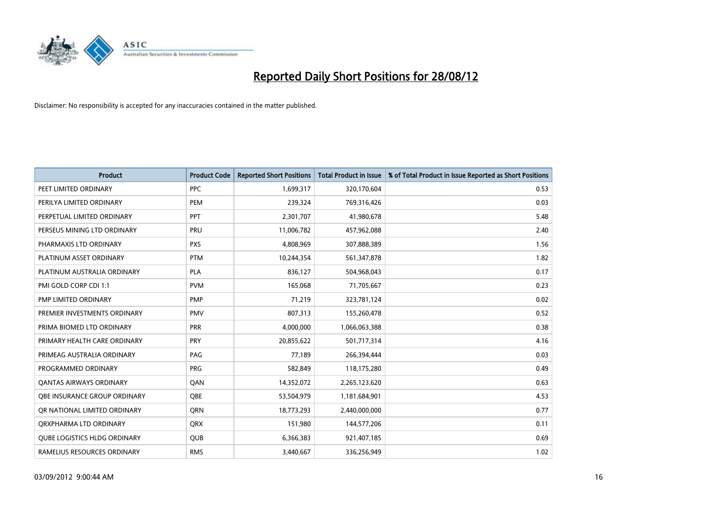

| <b>Product</b>                      | <b>Product Code</b> | <b>Reported Short Positions</b> | <b>Total Product in Issue</b> | % of Total Product in Issue Reported as Short Positions |
|-------------------------------------|---------------------|---------------------------------|-------------------------------|---------------------------------------------------------|
| PEET LIMITED ORDINARY               | <b>PPC</b>          | 1,699,317                       | 320,170,604                   | 0.53                                                    |
| PERILYA LIMITED ORDINARY            | PEM                 | 239,324                         | 769,316,426                   | 0.03                                                    |
| PERPETUAL LIMITED ORDINARY          | PPT                 | 2,301,707                       | 41,980,678                    | 5.48                                                    |
| PERSEUS MINING LTD ORDINARY         | PRU                 | 11,006,782                      | 457,962,088                   | 2.40                                                    |
| PHARMAXIS LTD ORDINARY              | <b>PXS</b>          | 4,808,969                       | 307,888,389                   | 1.56                                                    |
| PLATINUM ASSET ORDINARY             | <b>PTM</b>          | 10,244,354                      | 561,347,878                   | 1.82                                                    |
| PLATINUM AUSTRALIA ORDINARY         | <b>PLA</b>          | 836,127                         | 504,968,043                   | 0.17                                                    |
| PMI GOLD CORP CDI 1:1               | <b>PVM</b>          | 165,068                         | 71,705,667                    | 0.23                                                    |
| PMP LIMITED ORDINARY                | <b>PMP</b>          | 71,219                          | 323,781,124                   | 0.02                                                    |
| PREMIER INVESTMENTS ORDINARY        | <b>PMV</b>          | 807,313                         | 155,260,478                   | 0.52                                                    |
| PRIMA BIOMED LTD ORDINARY           | <b>PRR</b>          | 4,000,000                       | 1,066,063,388                 | 0.38                                                    |
| PRIMARY HEALTH CARE ORDINARY        | <b>PRY</b>          | 20,855,622                      | 501,717,314                   | 4.16                                                    |
| PRIMEAG AUSTRALIA ORDINARY          | PAG                 | 77,189                          | 266,394,444                   | 0.03                                                    |
| PROGRAMMED ORDINARY                 | <b>PRG</b>          | 582,849                         | 118,175,280                   | 0.49                                                    |
| <b>QANTAS AIRWAYS ORDINARY</b>      | QAN                 | 14,352,072                      | 2,265,123,620                 | 0.63                                                    |
| <b>OBE INSURANCE GROUP ORDINARY</b> | <b>OBE</b>          | 53,504,979                      | 1,181,684,901                 | 4.53                                                    |
| OR NATIONAL LIMITED ORDINARY        | <b>ORN</b>          | 18,773,293                      | 2,440,000,000                 | 0.77                                                    |
| ORXPHARMA LTD ORDINARY              | <b>QRX</b>          | 151,980                         | 144,577,206                   | 0.11                                                    |
| <b>QUBE LOGISTICS HLDG ORDINARY</b> | <b>QUB</b>          | 6,366,383                       | 921,407,185                   | 0.69                                                    |
| RAMELIUS RESOURCES ORDINARY         | <b>RMS</b>          | 3,440,667                       | 336,256,949                   | 1.02                                                    |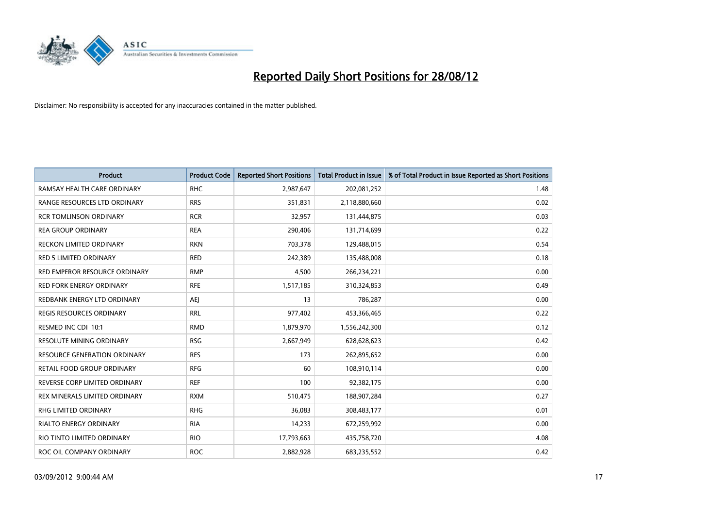

| <b>Product</b>                  | <b>Product Code</b> | <b>Reported Short Positions</b> | <b>Total Product in Issue</b> | % of Total Product in Issue Reported as Short Positions |
|---------------------------------|---------------------|---------------------------------|-------------------------------|---------------------------------------------------------|
| RAMSAY HEALTH CARE ORDINARY     | <b>RHC</b>          | 2,987,647                       | 202,081,252                   | 1.48                                                    |
| RANGE RESOURCES LTD ORDINARY    | <b>RRS</b>          | 351,831                         | 2,118,880,660                 | 0.02                                                    |
| <b>RCR TOMLINSON ORDINARY</b>   | <b>RCR</b>          | 32,957                          | 131,444,875                   | 0.03                                                    |
| <b>REA GROUP ORDINARY</b>       | <b>REA</b>          | 290,406                         | 131,714,699                   | 0.22                                                    |
| RECKON LIMITED ORDINARY         | <b>RKN</b>          | 703,378                         | 129,488,015                   | 0.54                                                    |
| <b>RED 5 LIMITED ORDINARY</b>   | <b>RED</b>          | 242,389                         | 135,488,008                   | 0.18                                                    |
| RED EMPEROR RESOURCE ORDINARY   | <b>RMP</b>          | 4,500                           | 266,234,221                   | 0.00                                                    |
| RED FORK ENERGY ORDINARY        | <b>RFE</b>          | 1,517,185                       | 310,324,853                   | 0.49                                                    |
| REDBANK ENERGY LTD ORDINARY     | AEJ                 | 13                              | 786,287                       | 0.00                                                    |
| <b>REGIS RESOURCES ORDINARY</b> | <b>RRL</b>          | 977,402                         | 453,366,465                   | 0.22                                                    |
| RESMED INC CDI 10:1             | <b>RMD</b>          | 1,879,970                       | 1,556,242,300                 | 0.12                                                    |
| <b>RESOLUTE MINING ORDINARY</b> | <b>RSG</b>          | 2,667,949                       | 628,628,623                   | 0.42                                                    |
| RESOURCE GENERATION ORDINARY    | <b>RES</b>          | 173                             | 262,895,652                   | 0.00                                                    |
| RETAIL FOOD GROUP ORDINARY      | <b>RFG</b>          | 60                              | 108,910,114                   | 0.00                                                    |
| REVERSE CORP LIMITED ORDINARY   | <b>REF</b>          | 100                             | 92,382,175                    | 0.00                                                    |
| REX MINERALS LIMITED ORDINARY   | <b>RXM</b>          | 510,475                         | 188,907,284                   | 0.27                                                    |
| RHG LIMITED ORDINARY            | <b>RHG</b>          | 36,083                          | 308,483,177                   | 0.01                                                    |
| RIALTO ENERGY ORDINARY          | <b>RIA</b>          | 14,233                          | 672,259,992                   | 0.00                                                    |
| RIO TINTO LIMITED ORDINARY      | <b>RIO</b>          | 17,793,663                      | 435,758,720                   | 4.08                                                    |
| ROC OIL COMPANY ORDINARY        | <b>ROC</b>          | 2,882,928                       | 683,235,552                   | 0.42                                                    |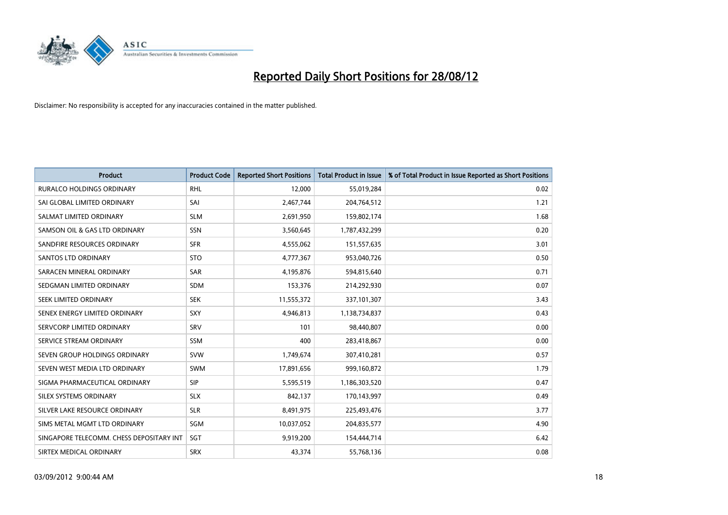

| <b>Product</b>                           | <b>Product Code</b> | <b>Reported Short Positions</b> | <b>Total Product in Issue</b> | % of Total Product in Issue Reported as Short Positions |
|------------------------------------------|---------------------|---------------------------------|-------------------------------|---------------------------------------------------------|
| <b>RURALCO HOLDINGS ORDINARY</b>         | <b>RHL</b>          | 12,000                          | 55,019,284                    | 0.02                                                    |
| SAI GLOBAL LIMITED ORDINARY              | SAI                 | 2,467,744                       | 204,764,512                   | 1.21                                                    |
| SALMAT LIMITED ORDINARY                  | <b>SLM</b>          | 2,691,950                       | 159,802,174                   | 1.68                                                    |
| SAMSON OIL & GAS LTD ORDINARY            | SSN                 | 3,560,645                       | 1,787,432,299                 | 0.20                                                    |
| SANDFIRE RESOURCES ORDINARY              | <b>SFR</b>          | 4,555,062                       | 151,557,635                   | 3.01                                                    |
| <b>SANTOS LTD ORDINARY</b>               | <b>STO</b>          | 4,777,367                       | 953,040,726                   | 0.50                                                    |
| SARACEN MINERAL ORDINARY                 | <b>SAR</b>          | 4,195,876                       | 594,815,640                   | 0.71                                                    |
| SEDGMAN LIMITED ORDINARY                 | <b>SDM</b>          | 153,376                         | 214,292,930                   | 0.07                                                    |
| SEEK LIMITED ORDINARY                    | <b>SEK</b>          | 11,555,372                      | 337,101,307                   | 3.43                                                    |
| SENEX ENERGY LIMITED ORDINARY            | <b>SXY</b>          | 4,946,813                       | 1,138,734,837                 | 0.43                                                    |
| SERVCORP LIMITED ORDINARY                | SRV                 | 101                             | 98,440,807                    | 0.00                                                    |
| SERVICE STREAM ORDINARY                  | <b>SSM</b>          | 400                             | 283,418,867                   | 0.00                                                    |
| SEVEN GROUP HOLDINGS ORDINARY            | <b>SVW</b>          | 1,749,674                       | 307,410,281                   | 0.57                                                    |
| SEVEN WEST MEDIA LTD ORDINARY            | <b>SWM</b>          | 17,891,656                      | 999,160,872                   | 1.79                                                    |
| SIGMA PHARMACEUTICAL ORDINARY            | <b>SIP</b>          | 5,595,519                       | 1,186,303,520                 | 0.47                                                    |
| SILEX SYSTEMS ORDINARY                   | <b>SLX</b>          | 842,137                         | 170,143,997                   | 0.49                                                    |
| SILVER LAKE RESOURCE ORDINARY            | <b>SLR</b>          | 8,491,975                       | 225,493,476                   | 3.77                                                    |
| SIMS METAL MGMT LTD ORDINARY             | SGM                 | 10,037,052                      | 204,835,577                   | 4.90                                                    |
| SINGAPORE TELECOMM. CHESS DEPOSITARY INT | SGT                 | 9,919,200                       | 154,444,714                   | 6.42                                                    |
| SIRTEX MEDICAL ORDINARY                  | <b>SRX</b>          | 43,374                          | 55,768,136                    | 0.08                                                    |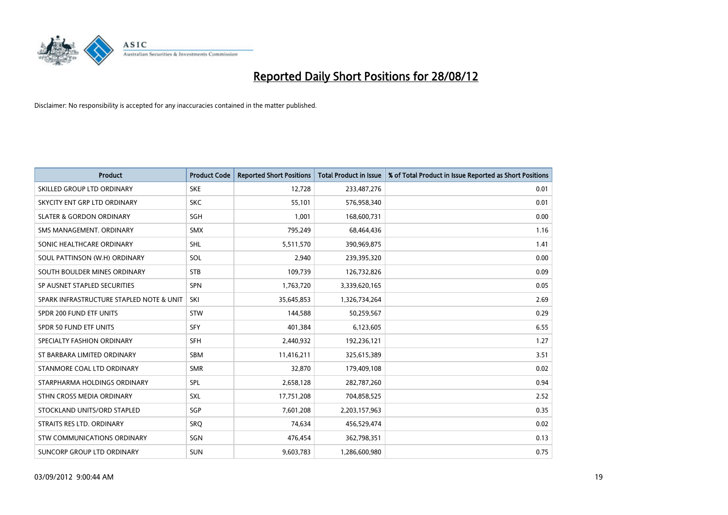

| <b>Product</b>                           | <b>Product Code</b> | <b>Reported Short Positions</b> | <b>Total Product in Issue</b> | % of Total Product in Issue Reported as Short Positions |
|------------------------------------------|---------------------|---------------------------------|-------------------------------|---------------------------------------------------------|
| SKILLED GROUP LTD ORDINARY               | <b>SKE</b>          | 12,728                          | 233,487,276                   | 0.01                                                    |
| SKYCITY ENT GRP LTD ORDINARY             | <b>SKC</b>          | 55,101                          | 576,958,340                   | 0.01                                                    |
| <b>SLATER &amp; GORDON ORDINARY</b>      | <b>SGH</b>          | 1,001                           | 168,600,731                   | 0.00                                                    |
| SMS MANAGEMENT. ORDINARY                 | <b>SMX</b>          | 795,249                         | 68,464,436                    | 1.16                                                    |
| SONIC HEALTHCARE ORDINARY                | <b>SHL</b>          | 5,511,570                       | 390,969,875                   | 1.41                                                    |
| SOUL PATTINSON (W.H) ORDINARY            | SOL                 | 2,940                           | 239,395,320                   | 0.00                                                    |
| SOUTH BOULDER MINES ORDINARY             | <b>STB</b>          | 109,739                         | 126,732,826                   | 0.09                                                    |
| SP AUSNET STAPLED SECURITIES             | <b>SPN</b>          | 1,763,720                       | 3,339,620,165                 | 0.05                                                    |
| SPARK INFRASTRUCTURE STAPLED NOTE & UNIT | SKI                 | 35,645,853                      | 1,326,734,264                 | 2.69                                                    |
| SPDR 200 FUND ETF UNITS                  | <b>STW</b>          | 144,588                         | 50,259,567                    | 0.29                                                    |
| SPDR 50 FUND ETF UNITS                   | <b>SFY</b>          | 401,384                         | 6,123,605                     | 6.55                                                    |
| SPECIALTY FASHION ORDINARY               | <b>SFH</b>          | 2,440,932                       | 192,236,121                   | 1.27                                                    |
| ST BARBARA LIMITED ORDINARY              | <b>SBM</b>          | 11,416,211                      | 325,615,389                   | 3.51                                                    |
| STANMORE COAL LTD ORDINARY               | <b>SMR</b>          | 32,870                          | 179,409,108                   | 0.02                                                    |
| STARPHARMA HOLDINGS ORDINARY             | SPL                 | 2,658,128                       | 282,787,260                   | 0.94                                                    |
| STHN CROSS MEDIA ORDINARY                | SXL                 | 17,751,208                      | 704,858,525                   | 2.52                                                    |
| STOCKLAND UNITS/ORD STAPLED              | SGP                 | 7,601,208                       | 2,203,157,963                 | 0.35                                                    |
| STRAITS RES LTD. ORDINARY                | SRQ                 | 74,634                          | 456,529,474                   | 0.02                                                    |
| STW COMMUNICATIONS ORDINARY              | SGN                 | 476,454                         | 362,798,351                   | 0.13                                                    |
| SUNCORP GROUP LTD ORDINARY               | <b>SUN</b>          | 9,603,783                       | 1,286,600,980                 | 0.75                                                    |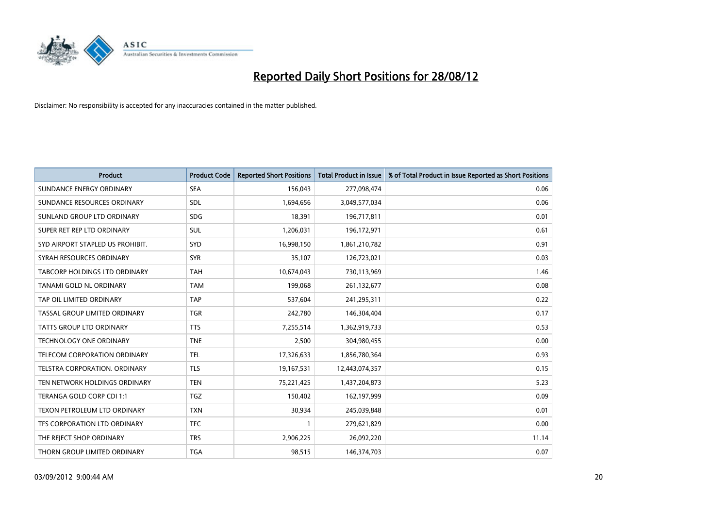

| <b>Product</b>                   | <b>Product Code</b> | <b>Reported Short Positions</b> | <b>Total Product in Issue</b> | % of Total Product in Issue Reported as Short Positions |
|----------------------------------|---------------------|---------------------------------|-------------------------------|---------------------------------------------------------|
| SUNDANCE ENERGY ORDINARY         | <b>SEA</b>          | 156,043                         | 277,098,474                   | 0.06                                                    |
| SUNDANCE RESOURCES ORDINARY      | <b>SDL</b>          | 1,694,656                       | 3,049,577,034                 | 0.06                                                    |
| SUNLAND GROUP LTD ORDINARY       | <b>SDG</b>          | 18,391                          | 196,717,811                   | 0.01                                                    |
| SUPER RET REP LTD ORDINARY       | SUL                 | 1,206,031                       | 196,172,971                   | 0.61                                                    |
| SYD AIRPORT STAPLED US PROHIBIT. | <b>SYD</b>          | 16,998,150                      | 1,861,210,782                 | 0.91                                                    |
| SYRAH RESOURCES ORDINARY         | <b>SYR</b>          | 35,107                          | 126,723,021                   | 0.03                                                    |
| TABCORP HOLDINGS LTD ORDINARY    | <b>TAH</b>          | 10,674,043                      | 730,113,969                   | 1.46                                                    |
| TANAMI GOLD NL ORDINARY          | <b>TAM</b>          | 199,068                         | 261,132,677                   | 0.08                                                    |
| TAP OIL LIMITED ORDINARY         | <b>TAP</b>          | 537,604                         | 241,295,311                   | 0.22                                                    |
| TASSAL GROUP LIMITED ORDINARY    | <b>TGR</b>          | 242,780                         | 146,304,404                   | 0.17                                                    |
| TATTS GROUP LTD ORDINARY         | <b>TTS</b>          | 7,255,514                       | 1,362,919,733                 | 0.53                                                    |
| <b>TECHNOLOGY ONE ORDINARY</b>   | <b>TNE</b>          | 2,500                           | 304,980,455                   | 0.00                                                    |
| TELECOM CORPORATION ORDINARY     | <b>TEL</b>          | 17,326,633                      | 1,856,780,364                 | 0.93                                                    |
| TELSTRA CORPORATION. ORDINARY    | <b>TLS</b>          | 19,167,531                      | 12,443,074,357                | 0.15                                                    |
| TEN NETWORK HOLDINGS ORDINARY    | <b>TEN</b>          | 75,221,425                      | 1,437,204,873                 | 5.23                                                    |
| TERANGA GOLD CORP CDI 1:1        | <b>TGZ</b>          | 150,402                         | 162,197,999                   | 0.09                                                    |
| TEXON PETROLEUM LTD ORDINARY     | <b>TXN</b>          | 30,934                          | 245,039,848                   | 0.01                                                    |
| TFS CORPORATION LTD ORDINARY     | <b>TFC</b>          |                                 | 279,621,829                   | 0.00                                                    |
| THE REJECT SHOP ORDINARY         | <b>TRS</b>          | 2,906,225                       | 26,092,220                    | 11.14                                                   |
| THORN GROUP LIMITED ORDINARY     | <b>TGA</b>          | 98,515                          | 146,374,703                   | 0.07                                                    |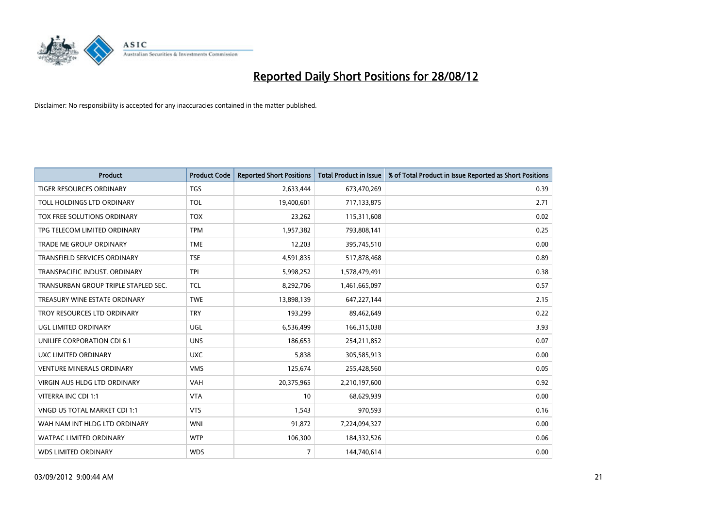

| <b>Product</b>                       | <b>Product Code</b> | <b>Reported Short Positions</b> | <b>Total Product in Issue</b> | % of Total Product in Issue Reported as Short Positions |
|--------------------------------------|---------------------|---------------------------------|-------------------------------|---------------------------------------------------------|
| <b>TIGER RESOURCES ORDINARY</b>      | <b>TGS</b>          | 2,633,444                       | 673,470,269                   | 0.39                                                    |
| TOLL HOLDINGS LTD ORDINARY           | <b>TOL</b>          | 19,400,601                      | 717,133,875                   | 2.71                                                    |
| TOX FREE SOLUTIONS ORDINARY          | <b>TOX</b>          | 23,262                          | 115,311,608                   | 0.02                                                    |
| TPG TELECOM LIMITED ORDINARY         | <b>TPM</b>          | 1,957,382                       | 793,808,141                   | 0.25                                                    |
| <b>TRADE ME GROUP ORDINARY</b>       | <b>TME</b>          | 12,203                          | 395,745,510                   | 0.00                                                    |
| <b>TRANSFIELD SERVICES ORDINARY</b>  | <b>TSE</b>          | 4,591,835                       | 517,878,468                   | 0.89                                                    |
| TRANSPACIFIC INDUST, ORDINARY        | <b>TPI</b>          | 5,998,252                       | 1,578,479,491                 | 0.38                                                    |
| TRANSURBAN GROUP TRIPLE STAPLED SEC. | <b>TCL</b>          | 8,292,706                       | 1,461,665,097                 | 0.57                                                    |
| TREASURY WINE ESTATE ORDINARY        | <b>TWE</b>          | 13,898,139                      | 647,227,144                   | 2.15                                                    |
| TROY RESOURCES LTD ORDINARY          | <b>TRY</b>          | 193,299                         | 89,462,649                    | 0.22                                                    |
| UGL LIMITED ORDINARY                 | UGL                 | 6,536,499                       | 166,315,038                   | 3.93                                                    |
| <b>UNILIFE CORPORATION CDI 6:1</b>   | <b>UNS</b>          | 186,653                         | 254,211,852                   | 0.07                                                    |
| UXC LIMITED ORDINARY                 | <b>UXC</b>          | 5,838                           | 305,585,913                   | 0.00                                                    |
| <b>VENTURE MINERALS ORDINARY</b>     | <b>VMS</b>          | 125,674                         | 255,428,560                   | 0.05                                                    |
| <b>VIRGIN AUS HLDG LTD ORDINARY</b>  | <b>VAH</b>          | 20,375,965                      | 2,210,197,600                 | 0.92                                                    |
| VITERRA INC CDI 1:1                  | <b>VTA</b>          | 10                              | 68,629,939                    | 0.00                                                    |
| VNGD US TOTAL MARKET CDI 1:1         | <b>VTS</b>          | 1,543                           | 970,593                       | 0.16                                                    |
| WAH NAM INT HLDG LTD ORDINARY        | <b>WNI</b>          | 91,872                          | 7,224,094,327                 | 0.00                                                    |
| <b>WATPAC LIMITED ORDINARY</b>       | <b>WTP</b>          | 106,300                         | 184,332,526                   | 0.06                                                    |
| <b>WDS LIMITED ORDINARY</b>          | <b>WDS</b>          | $\overline{7}$                  | 144,740,614                   | 0.00                                                    |